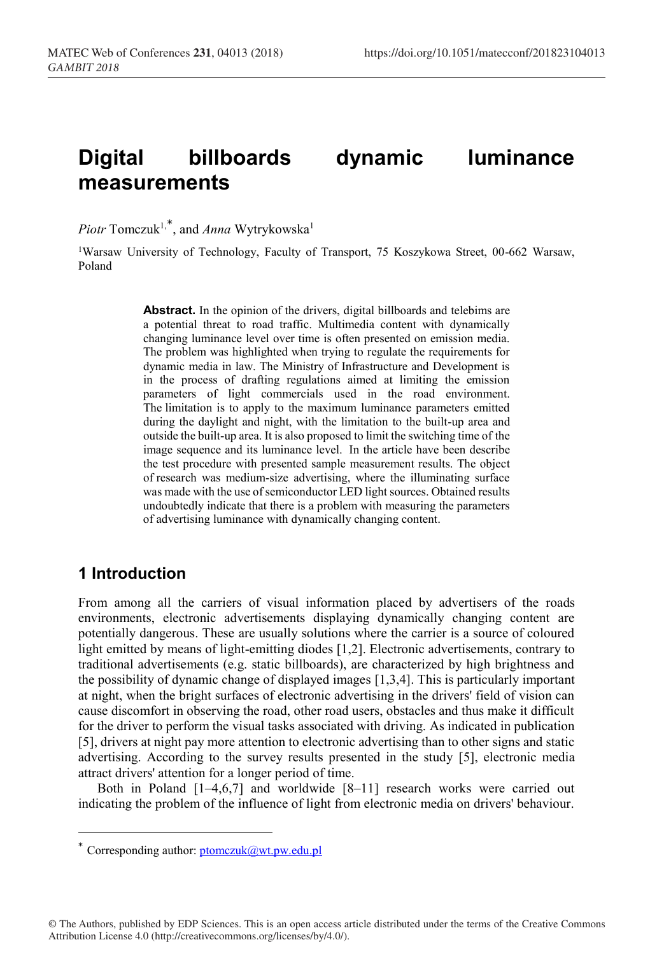# **Digital billboards dynamic luminance measurements**

*Piotr* Tomczuk<sup>1,\*</sup>, and *Anna* Wytrykowska<sup>1</sup>

1Warsaw University of Technology, Faculty of Transport, 75 Koszykowa Street, 00-662 Warsaw, Poland

> Abstract. In the opinion of the drivers, digital billboards and telebims are a potential threat to road traffic. Multimedia content with dynamically changing luminance level over time is often presented on emission media. The problem was highlighted when trying to regulate the requirements for dynamic media in law. The Ministry of Infrastructure and Development is in the process of drafting regulations aimed at limiting the emission parameters of light commercials used in the road environment. The limitation is to apply to the maximum luminance parameters emitted during the daylight and night, with the limitation to the built-up area and outside the built-up area. It is also proposed to limit the switching time of the image sequence and its luminance level. In the article have been describe the test procedure with presented sample measurement results. The object of research was medium-size advertising, where the illuminating surface was made with the use of semiconductor LED light sources. Obtained results undoubtedly indicate that there is a problem with measuring the parameters of advertising luminance with dynamically changing content.

### **1 Introduction**

-

From among all the carriers of visual information placed by advertisers of the roads environments, electronic advertisements displaying dynamically changing content are potentially dangerous. These are usually solutions where the carrier is a source of coloured light emitted by means of light-emitting diodes [1,2]. Electronic advertisements, contrary to traditional advertisements (e.g. static billboards), are characterized by high brightness and the possibility of dynamic change of displayed images [1,3,4]. This is particularly important at night, when the bright surfaces of electronic advertising in the drivers' field of vision can cause discomfort in observing the road, other road users, obstacles and thus make it difficult for the driver to perform the visual tasks associated with driving. As indicated in publication [5], drivers at night pay more attention to electronic advertising than to other signs and static advertising. According to the survey results presented in the study [5], electronic media attract drivers' attention for a longer period of time.

Both in Poland [1–4,6,7] and worldwide [8–11] research works were carried out indicating the problem of the influence of light from electronic media on drivers' behaviour.

© The Authors, published by EDP Sciences. This is an open access article distributed under the terms of the Creative Commons Attribution License 4.0 (http://creativecommons.org/licenses/by/4.0/).

<sup>\*</sup> Corresponding author:  $ptomczuk@wt.pw.edu.pl$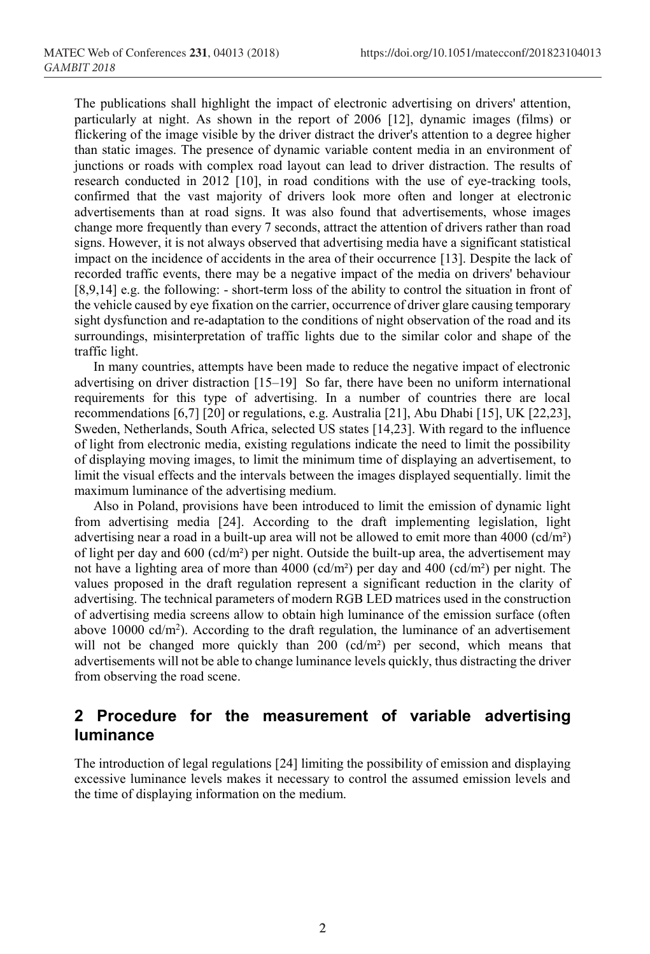The publications shall highlight the impact of electronic advertising on drivers' attention, particularly at night. As shown in the report of 2006 [12], dynamic images (films) or flickering of the image visible by the driver distract the driver's attention to a degree higher than static images. The presence of dynamic variable content media in an environment of junctions or roads with complex road layout can lead to driver distraction. The results of research conducted in 2012 [10], in road conditions with the use of eye-tracking tools, confirmed that the vast majority of drivers look more often and longer at electronic advertisements than at road signs. It was also found that advertisements, whose images change more frequently than every 7 seconds, attract the attention of drivers rather than road signs. However, it is not always observed that advertising media have a significant statistical impact on the incidence of accidents in the area of their occurrence [13]. Despite the lack of recorded traffic events, there may be a negative impact of the media on drivers' behaviour [8,9,14] e.g. the following: - short-term loss of the ability to control the situation in front of the vehicle caused by eye fixation on the carrier, occurrence of driver glare causing temporary sight dysfunction and re-adaptation to the conditions of night observation of the road and its surroundings, misinterpretation of traffic lights due to the similar color and shape of the traffic light.

In many countries, attempts have been made to reduce the negative impact of electronic advertising on driver distraction [15–19] So far, there have been no uniform international requirements for this type of advertising. In a number of countries there are local recommendations [6,7] [20] or regulations, e.g. Australia [21], Abu Dhabi [15], UK [22,23], Sweden, Netherlands, South Africa, selected US states [14,23]. With regard to the influence of light from electronic media, existing regulations indicate the need to limit the possibility of displaying moving images, to limit the minimum time of displaying an advertisement, to limit the visual effects and the intervals between the images displayed sequentially. limit the maximum luminance of the advertising medium.

Also in Poland, provisions have been introduced to limit the emission of dynamic light from advertising media [24]. According to the draft implementing legislation, light advertising near a road in a built-up area will not be allowed to emit more than  $4000$  (cd/m<sup>2</sup>) of light per day and  $600 \text{ (cd/m²)}$  per night. Outside the built-up area, the advertisement may not have a lighting area of more than 4000 (cd/m²) per day and 400 (cd/m²) per night. The values proposed in the draft regulation represent a significant reduction in the clarity of advertising. The technical parameters of modern RGB LED matrices used in the construction of advertising media screens allow to obtain high luminance of the emission surface (often above  $10000 \text{ cd/m}^2$ ). According to the draft regulation, the luminance of an advertisement will not be changed more quickly than 200 (cd/m<sup>2</sup>) per second, which means that advertisements will not be able to change luminance levels quickly, thus distracting the driver from observing the road scene.

# **2 Procedure for the measurement of variable advertising luminance**

The introduction of legal regulations [24] limiting the possibility of emission and displaying excessive luminance levels makes it necessary to control the assumed emission levels and the time of displaying information on the medium.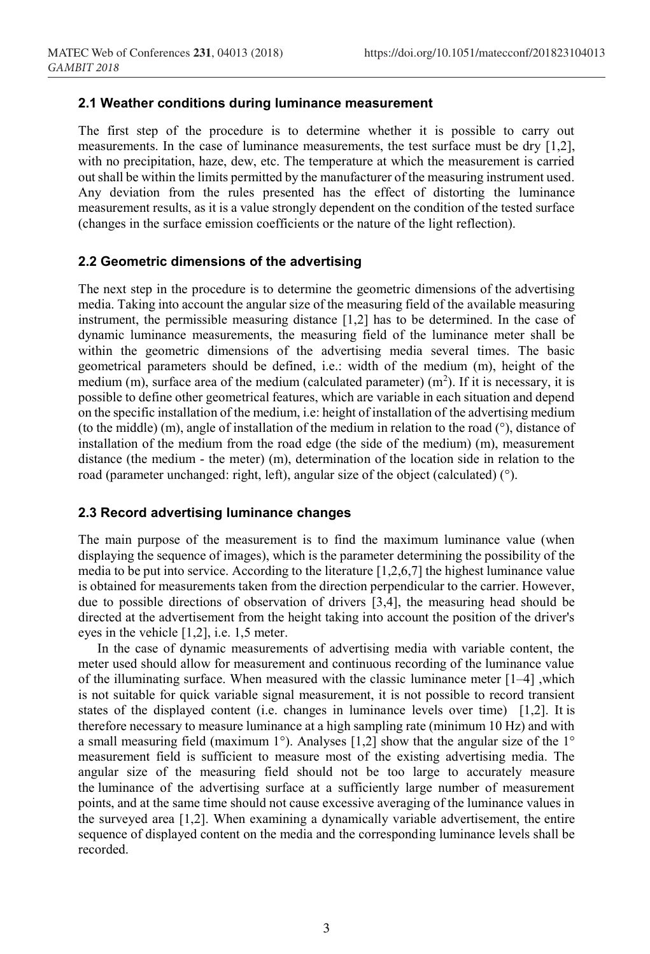#### **2.1 Weather conditions during luminance measurement**

The first step of the procedure is to determine whether it is possible to carry out measurements. In the case of luminance measurements, the test surface must be dry [1,2], with no precipitation, haze, dew, etc. The temperature at which the measurement is carried out shall be within the limits permitted by the manufacturer of the measuring instrument used. Any deviation from the rules presented has the effect of distorting the luminance measurement results, as it is a value strongly dependent on the condition of the tested surface (changes in the surface emission coefficients or the nature of the light reflection).

#### **2.2 Geometric dimensions of the advertising**

The next step in the procedure is to determine the geometric dimensions of the advertising media. Taking into account the angular size of the measuring field of the available measuring instrument, the permissible measuring distance [1,2] has to be determined. In the case of dynamic luminance measurements, the measuring field of the luminance meter shall be within the geometric dimensions of the advertising media several times. The basic geometrical parameters should be defined, i.e.: width of the medium (m), height of the medium (m), surface area of the medium (calculated parameter)  $(m^2)$ . If it is necessary, it is possible to define other geometrical features, which are variable in each situation and depend on the specific installation of the medium, i.e: height of installation of the advertising medium (to the middle) (m), angle of installation of the medium in relation to the road (°), distance of installation of the medium from the road edge (the side of the medium) (m), measurement distance (the medium - the meter) (m), determination of the location side in relation to the road (parameter unchanged: right, left), angular size of the object (calculated) (°).

#### **2.3 Record advertising luminance changes**

The main purpose of the measurement is to find the maximum luminance value (when displaying the sequence of images), which is the parameter determining the possibility of the media to be put into service. According to the literature [1,2,6,7] the highest luminance value is obtained for measurements taken from the direction perpendicular to the carrier. However, due to possible directions of observation of drivers [3,4], the measuring head should be directed at the advertisement from the height taking into account the position of the driver's eyes in the vehicle [1,2], i.e. 1,5 meter.

In the case of dynamic measurements of advertising media with variable content, the meter used should allow for measurement and continuous recording of the luminance value of the illuminating surface. When measured with the classic luminance meter  $[1-4]$ , which is not suitable for quick variable signal measurement, it is not possible to record transient states of the displayed content (i.e. changes in luminance levels over time) [1,2]. It is therefore necessary to measure luminance at a high sampling rate (minimum 10 Hz) and with a small measuring field (maximum  $1^{\circ}$ ). Analyses [1,2] show that the angular size of the  $1^{\circ}$ measurement field is sufficient to measure most of the existing advertising media. The angular size of the measuring field should not be too large to accurately measure the luminance of the advertising surface at a sufficiently large number of measurement points, and at the same time should not cause excessive averaging of the luminance values in the surveyed area [1,2]. When examining a dynamically variable advertisement, the entire sequence of displayed content on the media and the corresponding luminance levels shall be recorded.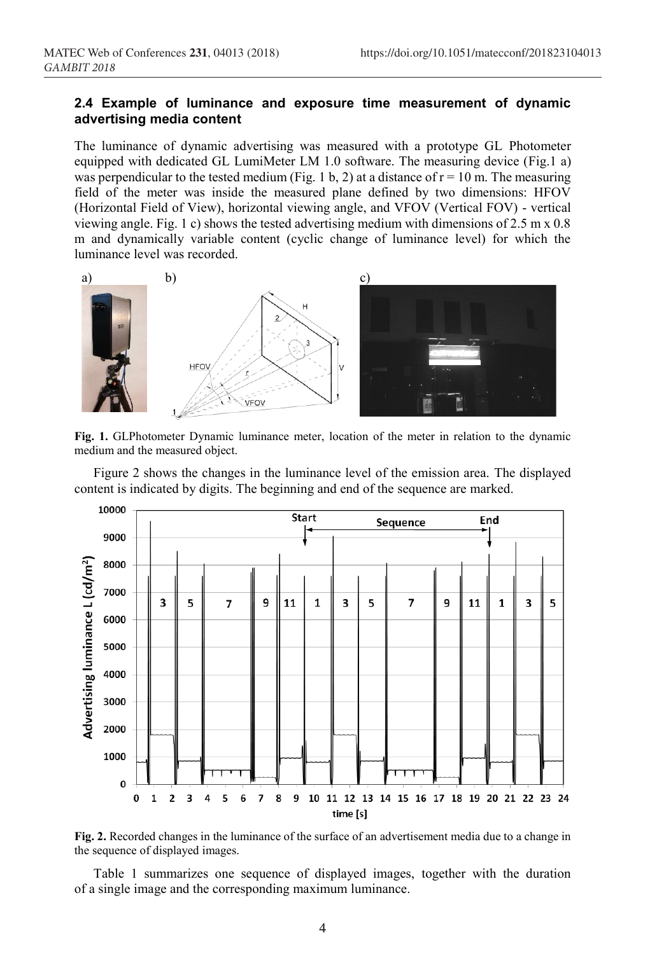#### **2.4 Example of luminance and exposure time measurement of dynamic advertising media content**

The luminance of dynamic advertising was measured with a prototype GL Photometer equipped with dedicated GL LumiMeter LM 1.0 software. The measuring device (Fig.1 a) was perpendicular to the tested medium (Fig. 1 b, 2) at a distance of  $r = 10$  m. The measuring field of the meter was inside the measured plane defined by two dimensions: HFOV (Horizontal Field of View), horizontal viewing angle, and VFOV (Vertical FOV) - vertical viewing angle. Fig. 1 c) shows the tested advertising medium with dimensions of 2.5 m x 0.8 m and dynamically variable content (cyclic change of luminance level) for which the luminance level was recorded.



**Fig. 1.** GLPhotometer Dynamic luminance meter, location of the meter in relation to the dynamic medium and the measured object.

Figure 2 shows the changes in the luminance level of the emission area. The displayed content is indicated by digits. The beginning and end of the sequence are marked.



**Fig. 2.** Recorded changes in the luminance of the surface of an advertisement media due to a change in the sequence of displayed images.

Table 1 summarizes one sequence of displayed images, together with the duration of a single image and the corresponding maximum luminance.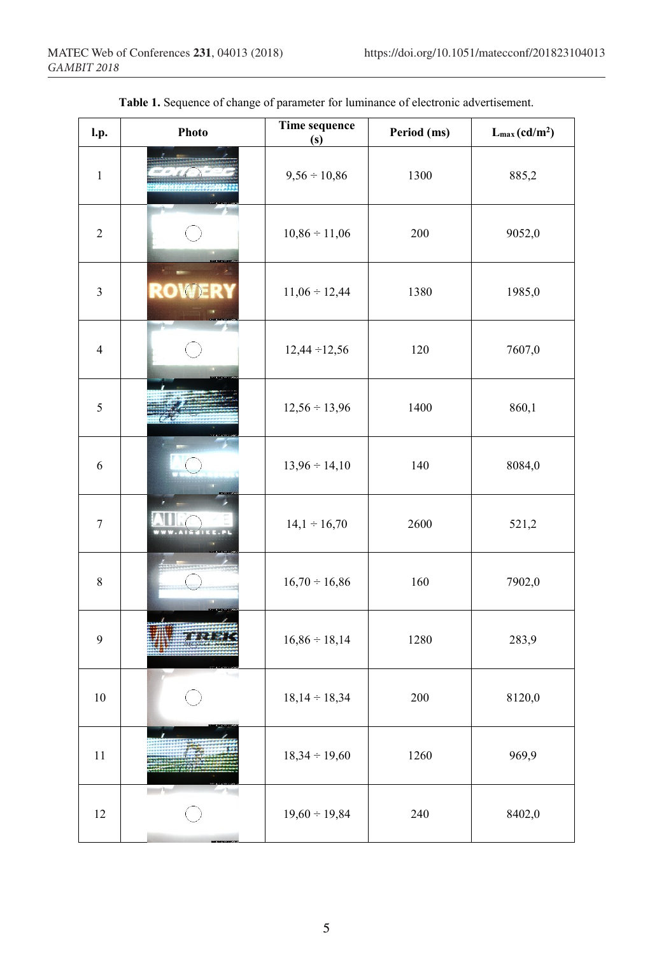| l.p.           | Photo        | Time sequence<br>(s) | Period (ms) | $L_{max}(cd/m^2)$ |
|----------------|--------------|----------------------|-------------|-------------------|
| $\,1\,$        |              | $9,56 \div 10,86$    | 1300        | 885,2             |
| $\sqrt{2}$     |              | $10,86 \div 11,06$   | 200         | 9052,0            |
| $\mathfrak{Z}$ | <b>ROWER</b> | $11,06 \div 12,44$   | 1380        | 1985,0            |
| $\overline{4}$ |              | $12,44 \div 12,56$   | 120         | 7607,0            |
| $\sqrt{5}$     |              | $12,56 \div 13,96$   | 1400        | 860,1             |
| $\sqrt{6}$     |              | $13,96 \div 14,10$   | 140         | 8084,0            |
| $\sqrt{ }$     |              | $14,1 \div 16,70$    | 2600        | 521,2             |
| $\,$ 8 $\,$    |              | $16,70 \div 16,86$   | 160         | 7902,0            |
| 9              |              | $16,86 \div 18,14$   | 1280        | 283,9             |
| $10\,$         |              | $18,14 \div 18,34$   | 200         | 8120,0            |
| $1\,1$         |              | $18,34 \div 19,60$   | 1260        | 969,9             |
| 12             | <b>STATE</b> | $19,60 \div 19,84$   | 240         | 8402,0            |

|  | Table 1. Sequence of change of parameter for luminance of electronic advertisement. |
|--|-------------------------------------------------------------------------------------|
|--|-------------------------------------------------------------------------------------|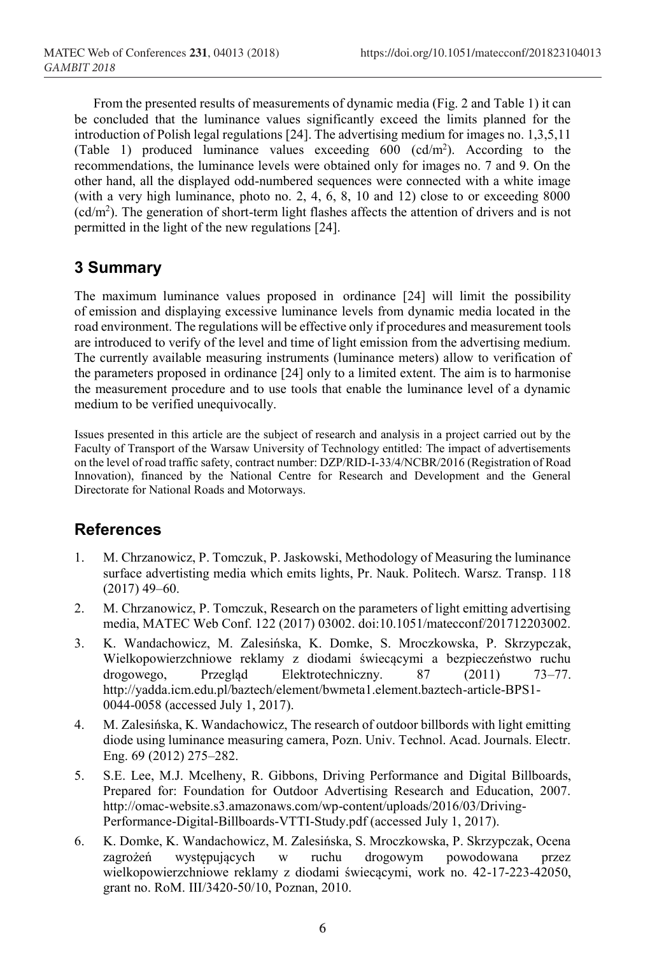From the presented results of measurements of dynamic media (Fig. 2 and Table 1) it can be concluded that the luminance values significantly exceed the limits planned for the introduction of Polish legal regulations [24]. The advertising medium for images no. 1,3,5,11 (Table 1) produced luminance values exceeding  $600 \text{ (cd/m}^2)$ . According to the recommendations, the luminance levels were obtained only for images no. 7 and 9. On the other hand, all the displayed odd-numbered sequences were connected with a white image (with a very high luminance, photo no. 2, 4,  $6$ , 8, 10 and 12) close to or exceeding 8000 (cd/m2 ). The generation of short-term light flashes affects the attention of drivers and is not permitted in the light of the new regulations [24].

# **3 Summary**

The maximum luminance values proposed in ordinance [24] will limit the possibility of emission and displaying excessive luminance levels from dynamic media located in the road environment. The regulations will be effective only if procedures and measurement tools are introduced to verify of the level and time of light emission from the advertising medium. The currently available measuring instruments (luminance meters) allow to verification of the parameters proposed in ordinance [24] only to a limited extent. The aim is to harmonise the measurement procedure and to use tools that enable the luminance level of a dynamic medium to be verified unequivocally.

Issues presented in this article are the subject of research and analysis in a project carried out by the Faculty of Transport of the Warsaw University of Technology entitled: The impact of advertisements on the level of road traffic safety, contract number: DZP/RID-I-33/4/NCBR/2016 (Registration of Road Innovation), financed by the National Centre for Research and Development and the General Directorate for National Roads and Motorways.

## **References**

- 1. M. Chrzanowicz, P. Tomczuk, P. Jaskowski, Methodology of Measuring the luminance surface advertisting media which emits lights, Pr. Nauk. Politech. Warsz. Transp. 118 (2017) 49–60.
- 2. M. Chrzanowicz, P. Tomczuk, Research on the parameters of light emitting advertising media, MATEC Web Conf. 122 (2017) 03002. doi:10.1051/matecconf/201712203002.
- 3. K. Wandachowicz, M. Zalesińska, K. Domke, S. Mroczkowska, P. Skrzypczak, Wielkopowierzchniowe reklamy z diodami świecącymi a bezpieczeństwo ruchu drogowego, Przegląd Elektrotechniczny. 87 (2011) 73–77. http://yadda.icm.edu.pl/baztech/element/bwmeta1.element.baztech-article-BPS1- 0044-0058 (accessed July 1, 2017).
- 4. M. Zalesińska, K. Wandachowicz, The research of outdoor billbords with light emitting diode using luminance measuring camera, Pozn. Univ. Technol. Acad. Journals. Electr. Eng. 69 (2012) 275–282.
- 5. S.E. Lee, M.J. Mcelheny, R. Gibbons, Driving Performance and Digital Billboards, Prepared for: Foundation for Outdoor Advertising Research and Education, 2007. http://omac-website.s3.amazonaws.com/wp-content/uploads/2016/03/Driving-Performance-Digital-Billboards-VTTI-Study.pdf (accessed July 1, 2017).
- 6. K. Domke, K. Wandachowicz, M. Zalesińska, S. Mroczkowska, P. Skrzypczak, Ocena zagrożeń występujących w ruchu drogowym powodowana przez wielkopowierzchniowe reklamy z diodami świecącymi, work no. 42-17-223-42050, grant no. RoM. III/3420-50/10, Poznan, 2010.